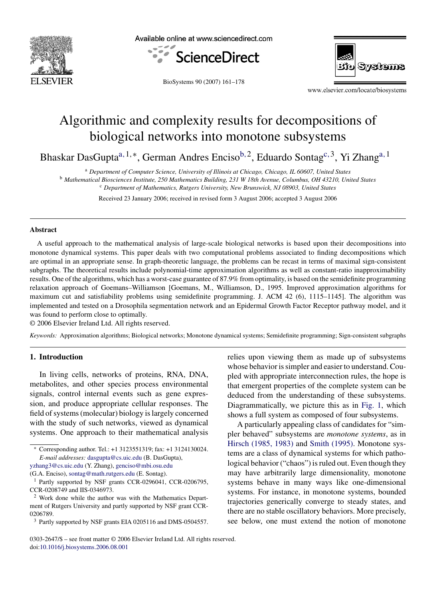

Available online at www.sciencedirect.com





BioSystems 90 (2007) 161–178

www.elsevier.com/locate/biosystems

# Algorithmic and complexity results for decompositions of biological networks into monotone subsystems

Bhaskar DasGuptaa*,*1*,*<sup>∗</sup>, German Andres Encisob*,*2, Eduardo Sontagc*,*3, Yi Zhanga*,*<sup>1</sup>

<sup>a</sup> *Department of Computer Science, University of Illinois at Chicago, Chicago, IL 60607, United States*

<sup>b</sup> *Mathematical Biosciences Institute, 250 Mathematics Building, 231 W 18th Avenue, Columbus, OH 43210, United States*

<sup>c</sup> *Department of Mathematics, Rutgers University, New Brunswick, NJ 08903, United States*

Received 23 January 2006; received in revised form 3 August 2006; accepted 3 August 2006

#### **Abstract**

A useful approach to the mathematical analysis of large-scale biological networks is based upon their decompositions into monotone dynamical systems. This paper deals with two computational problems associated to finding decompositions which are optimal in an appropriate sense. In graph-theoretic language, the problems can be recast in terms of maximal sign-consistent subgraphs. The theoretical results include polynomial-time approximation algorithms as well as constant-ratio inapproximability results. One of the algorithms, which has a worst-case guarantee of 87.9% from optimality, is based on the semidefinite programming relaxation approach of Goemans–Williamson [Goemans, M., Williamson, D., 1995. Improved approximation algorithms for maximum cut and satisfiability problems using semidefinite programming. J. ACM 42 (6), 1115–1145]. The algorithm was implemented and tested on a Drosophila segmentation network and an Epidermal Growth Factor Receptor pathway model, and it was found to perform close to optimally.

© 2006 Elsevier Ireland Ltd. All rights reserved.

*Keywords:* Approximation algorithms; Biological networks; Monotone dynamical systems; Semidefinite programming; Sign-consistent subgraphs

## **1. Introduction**

In living cells, networks of proteins, RNA, DNA, metabolites, and other species process environmental signals, control internal events such as gene expression, and produce appropriate cellular responses. The field of systems (molecular) biology is largely concerned with the study of such networks, viewed as dynamical systems. One approach to their mathematical analysis relies upon viewing them as made up of subsystems whose behavior is simpler and easier to understand. Coupled with appropriate interconnection rules, the hope is that emergent properties of the complete system can be deduced from the understanding of these subsystems. Diagrammatically, we picture this as in [Fig. 1,](#page-1-0) which shows a full system as composed of four subsystems.

A particularly appealing class of candidates for "simpler behaved" subsystems are *monotone systems*, as in [Hirsch \(1985, 1983\)](#page-16-0) and [Smith \(1995\).](#page-17-0) Monotone systems are a class of dynamical systems for which pathological behavior ("chaos") is ruled out. Even though they may have arbitrarily large dimensionality, monotone systems behave in many ways like one-dimensional systems. For instance, in monotone systems, bounded trajectories generically converge to steady states, and there are no stable oscillatory behaviors. More precisely, see below, one must extend the notion of monotone

<sup>∗</sup> Corresponding author. Tel.: +1 3123551319; fax: +1 3124130024. *E-mail addresses:* [dasgupta@cs.uic.edu](mailto:dasgupta@cs.uic.edu) (B. DasGupta),

[yzhang3@cs.uic.edu](mailto:yzhang3@cs.uic.edu) (Y. Zhang), [genciso@mbi.osu.edu](mailto:genciso@mbi.osu.edu) (G.A. Enciso), [sontag@math.rutgers.edu](mailto:sontag@math.rutgers.edu) (E. Sontag).

<sup>1</sup> Partly supported by NSF grants CCR-0296041, CCR-0206795, CCR-0208749 and IIS-0346973.

<sup>2</sup> Work done while the author was with the Mathematics Department of Rutgers University and partly supported by NSF grant CCR-0206789.

<sup>3</sup> Partly supported by NSF grants EIA 0205116 and DMS-0504557.

<sup>0303-2647/\$ –</sup> see front matter © 2006 Elsevier Ireland Ltd. All rights reserved. doi[:10.1016/j.biosystems.2006.08.001](dx.doi.org/10.1016/j.biosystems.2006.08.001)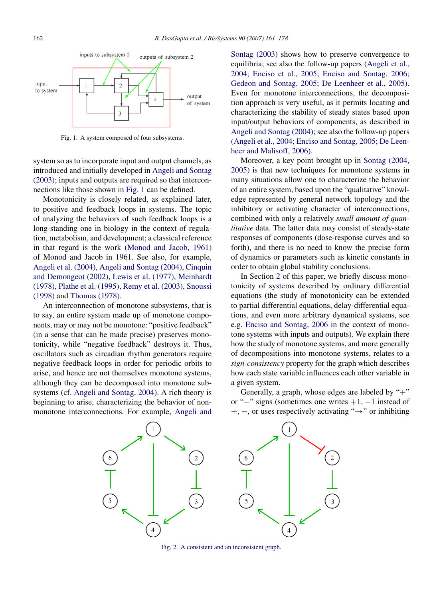<span id="page-1-0"></span>

Fig. 1. A system composed of four subsystems.

system so as to incorporate input and output channels, as introduced and initially developed in [Angeli and Sontag](#page-16-0) [\(2003\); i](#page-16-0)nputs and outputs are required so that interconnections like those shown in Fig. 1 can be defined.

Monotonicity is closely related, as explained later, to positive and feedback loops in systems. The topic of analyzing the behaviors of such feedback loops is a long-standing one in biology in the context of regulation, metabolism, and development; a classical reference in that regard is the work [\(Monod and Jacob, 1961\)](#page-17-0) of Monod and Jacob in 1961. See also, for example, [Angeli et al. \(2004\),](#page-16-0) [Angeli and Sontag \(2004\),](#page-16-0) Cinquin and Demongeot [\(2002\),](#page-16-0) [Lewis et al. \(1977\),](#page-16-0) [Meinhardt](#page-16-0) [\(1978\),](#page-16-0) [Plathe et al. \(1995\),](#page-17-0) [Remy et al. \(2003\),](#page-17-0) [Snoussi](#page-17-0) [\(1998\)](#page-17-0) and [Thomas \(1978\).](#page-17-0)

An interconnection of monotone subsystems, that is to say, an entire system made up of monotone components, may or may not be monotone: "positive feedback" (in a sense that can be made precise) preserves monotonicity, while "negative feedback" destroys it. Thus, oscillators such as circadian rhythm generators require negative feedback loops in order for periodic orbits to arise, and hence are not themselves monotone systems, although they can be decomposed into monotone subsystems (cf. [Angeli and Sontag, 2004\).](#page-16-0) A rich theory is beginning to arise, characterizing the behavior of nonmonotone interconnections. For example, [Angeli and](#page-16-0) Sontag [\(2003\)](#page-16-0) shows how to preserve convergence to equilibria; see also the follow-up papers [\(Angeli et al.,](#page-16-0) [2004; Enciso et al., 2005; Enciso and Sontag, 2006;](#page-16-0) [Gedeon and Sontag, 2005; De Leenheer et al., 2005\).](#page-16-0) Even for monotone interconnections, the decomposition approach is very useful, as it permits locating and characterizing the stability of steady states based upon input/output behaviors of components, as described in [Angeli and Sontag \(2004\);](#page-16-0) see also the follow-up papers [\(Angeli et al., 2004; Enciso and Sontag, 2005; De Leen](#page-16-0)heer and Malisoff[, 2006\).](#page-16-0)

Moreover, a key point brought up in [Sontag \(2004,](#page-17-0) [2005\)](#page-17-0) is that new techniques for monotone systems in many situations allow one to characterize the behavior of an entire system, based upon the "qualitative" knowledge represented by general network topology and the inhibitory or activating character of interconnections, combined with only a relatively *small amount of quantitative* data. The latter data may consist of steady-state responses of components (dose-response curves and so forth), and there is no need to know the precise form of dynamics or parameters such as kinetic constants in [order to obta](#page-16-0)in global stability conclusions.

In Section [2](#page-3-0) of this paper, we briefly discuss monotonicity of systems described by ordinary differential equations (the study of monotonicity can be extended to partial differential equations, delay-differential equations, and even more arbitrary dynamical systems, see e.g. [Enciso and Sontag, 2006](#page-16-0) in the context of monotone systems with inputs and outputs). We explain there how the study of monotone systems, and more generally of decompositions into monotone systems, relates to a *sign-consistency* property for the graph which describes how each state variable influences each other variable in a given system.

Generally, a graph, whose edges are labeled by "+" or "−" signs (sometimes one writes +1*,* −1 instead of +*,* −, or uses respectively activating "→" or inhibiting



Fig. 2. A consistent and an inconsistent graph.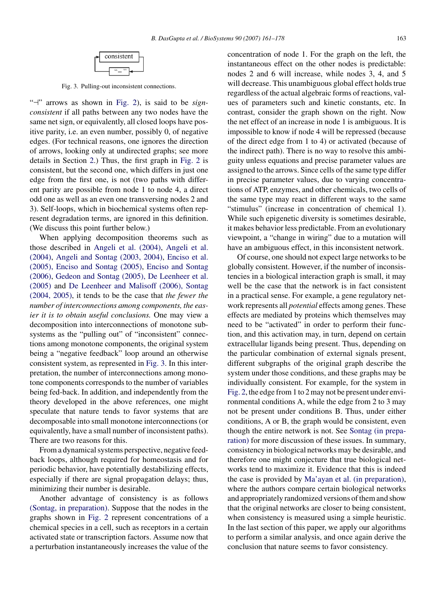

Fig. 3. Pulling-out inconsistent connections.

"<sup>-1</sup>" arrows as shown in [Fig. 2\)](#page-1-0), is said to be *signconsistent* if all paths between any two nodes have the same net sign, or equivalently, all closed loops have positive parity, i.e. an even number, possibly 0, of negative edges. (For technical reasons, one ignores the direction of arrows, looking only at undirected graphs; see more details in Section [2.\)](#page-3-0) Thus, the first graph in [Fig. 2](#page-1-0) is consistent, but the second one, which differs in just one edge from the first one, is not (two paths with different parity are possible from node 1 to node 4, a direct odd one as well as an even one transversing nodes 2 and 3). Self-loops, which in biochemical systems often represent degradation terms, are ignored in this definition. (We discuss this point further below.)

When applying decomposition theorems such as those described in [Angeli et al. \(2004\),](#page-16-0) [Angeli et al.](#page-16-0) [\(2004\),](#page-16-0) [Angeli and Sontag \(2003, 2004\),](#page-16-0) [Enciso et al.](#page-16-0) [\(2005\), Enciso and Sontag \(2005\),](#page-16-0) [Enciso and Sontag](#page-16-0) [\(2006\),](#page-16-0) [Gedeon and Sontag \(2005\), De Leenheer et al.](#page-16-0) [\(2005\)](#page-16-0) and [De Leenheer and Malisoff \(2006\), Sontag](#page-16-0) [\(2004, 2005\),](#page-16-0) it tends to be the case that *the fewer the number of interconnections among components, the easier it is to obtain useful conclusions.* One may view a decomposition into interconnections of monotone subsystems as the "pulling out" of "inconsistent" connections among monotone components, the original system being a "negative feedback" loop around an otherwise consistent system, as represented in Fig. 3. In this interpretation, the number of interconnections among monotone components corresponds to the number of variables being fed-back. In addition, and independently from the theory developed in the above references, one might speculate that nature tends to favor systems that are decomposable into small monotone interconnections (or equivalently, have a small number of inconsistent paths). There are two reasons for this.

From a dynamical systems perspective, negative feedback loops, although required for homeostasis and for periodic behavior, have potentially destabilizing effects, especially if there are signal propagation delays; thus, minimizing their number is desirable.

Another advantage of consistency is as follows [\(Sontag, in preparation\).](#page-17-0) Suppose that the nodes in the graphs shown in [Fig. 2](#page-1-0) represent concentrations of a chemical species in a cell, such as receptors in a certain activated state or transcription factors. Assume now that a perturbation instantaneously increases the value of the concentration of node 1. For the graph on the left, the instantaneous effect on the other nodes is predictable: nodes 2 and 6 will increase, while nodes 3, 4, and 5 will decrease. This unambiguous global effect holds true regardless of the actual algebraic forms of reactions, values of parameters such and kinetic constants, etc. In contrast, consider the graph shown on the right. Now the net effect of an increase in node 1 is ambiguous. It is impossible to know if node 4 will be repressed (because of the direct edge from 1 to 4) or activated (because of the indirect path). There is no way to resolve this ambiguity unless equations and precise parameter values are assigned to the arrows. Since cells of the same type differ in precise parameter values, due to varying concentrations of ATP, enzymes, and other chemicals, two cells of the same type may react in different ways to the same "stimulus" (increase in concentration of chemical 1). While such epigenetic diversity is sometimes desirable, it makes behavior less predictable. From an evolutionary viewpoint, a "change in wiring" due to a mutation will have an ambiguous effect, in this inconsistent network.

Of course, one should not expect large networks to be globally consistent. However, if the number of inconsistencies in a biological interaction graph is small, it may well be the case that the network is in fact consistent in a practical sense. For example, a gene regulatory network represents all *potential* effects among genes. These effects are mediated by proteins which themselves may need to be "activated" in order to perform their function, and this activation may, in turn, depend on certain extracellular ligands being present. Thus, depending on the particular combination of external signals present, different subgraphs of the original graph describe the system under those conditions, and these graphs may be individually consistent. For example, for the system in [Fig. 2, t](#page-1-0)he edge from 1 to 2 may not be present under environmental conditions A, while the edge from 2 to 3 may not be present under conditions B. Thus, under either conditions, A or B, the graph would be consistent, even though the entire network is not. See [Sontag \(in prepa](#page-17-0)ratio[n\)](#page-17-0) for more discussion of these issues. In summary, consistency in biological networks may be desirable, and therefore one might conjecture that true biological networks tend to maximize it. Evidence that this is indeed the case is provided by [Ma'ayan et al. \(in preparation\),](#page-16-0) where the authors compare certain biological networks and appropriately randomized versions of them and show that the original networks are closer to being consistent, when consistency is measured using a simple heuristic. In the last section of this paper, we apply our algorithms to perform a similar analysis, and once again derive the conclusion that nature seems to favor consistency.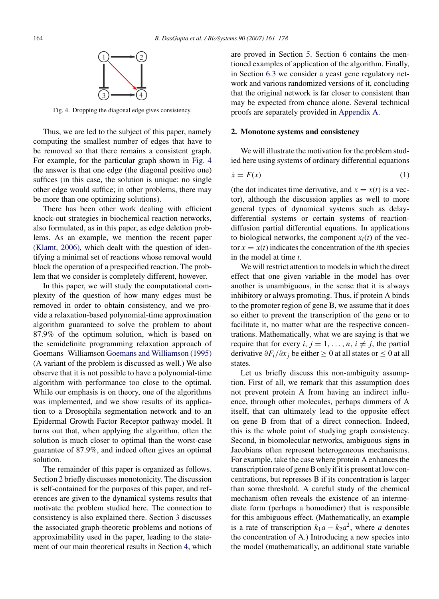<span id="page-3-0"></span>

Fig. 4. Dropping the diagonal edge gives consistency.

Thus, we are led to the subject of this paper, namely computing the smallest number of edges that have to be removed so that there remains a consistent graph. For example, for the particular graph shown in Fig. 4 the answer is that one edge (the diagonal positive one) suffices (in this case, the solution is unique: no single other edge would suffice; in other problems, there may be more than one optimizing solutions).

There has been other work dealing with efficient knock-out strategies in biochemical reaction networks, also formulated, as in this paper, as edge deletion problems. As an example, we mention the recent paper [\(Klamt, 2006\),](#page-16-0) which dealt with the question of identifying a minimal set of reactions whose removal would block the operation of a prespecified reaction. The problem that we consider is completely different, however.

In this paper, we will study the computational complexity of the question of how many edges must be removed in order to obtain consistency, and we provide a relaxation-based polynomial-time approximation algorithm guaranteed to solve the problem to about 87.9% of the optimum solution, which is based on the semidefinite programming relaxation approach of Goemans–Williamson [Goemans and Williamson \(1995\)](#page-16-0) (A variant of the problem is discussed as well.) We also observe that it is not possible to have a polynomial-time algorithm with performance too close to the optimal. While our emphasis is on theory, one of the algorithms was implemented, and we show results of its application to a Drosophila segmentation network and to an Epidermal Growth Factor Receptor pathway model. It turns out that, when applying the algorithm, often the solution is much closer to optimal than the worst-case guarantee of 87.9%, and indeed often gives an optimal solution.

The remainder of this paper is organized as follows. Section 2 briefly discusses monotonicity. The discussion is self-contained for the purposes of this paper, and references are given to the dynamical systems results that motivate the problem studied here. The connection to consistency is also explained there. Section [3](#page-6-0) discusses the associated graph-theoretic problems and notions of approximability used in the paper, leading to the statement of our main theoretical results in Section [4,](#page-8-0) which

are proved in Section [5.](#page-8-0) Section [6](#page-10-0) contains the mentioned examples of application of the algorithm. Finally, in Section [6.3](#page-14-0) we consider a yeast gene regulatory network and various randomized versions of it, concluding that the original network is far closer to consistent than may be expected from chance alone. Several technical proofs are separately provided in [Appendix A.](#page-14-0)

### **2. Monotone systems and consistency**

We will illustrate the motivation for the problem studied here using systems of ordinary differential equations

$$
\dot{x} = F(x) \tag{1}
$$

(the dot indicates time derivative, and  $x = x(t)$  is a vector), although the discussion applies as well to more general types of dynamical systems such as delaydifferential systems or certain systems of reactiondiffusion partial differential equations. In applications to biological networks, the component  $x_i(t)$  of the vector  $x = x(t)$  indicates the concentration of the *i*th species in the model at time *t*.

We will restrict attention to models in which the direct effect that one given variable in the model has over another is unambiguous, in the sense that it is always inhibitory or always promoting. Thus, if protein A binds to the promoter region of gene B, we assume that it does so either to prevent the transcription of the gene or to facilitate it, no matter what are the respective concentrations. Mathematically, what we are saying is that we require that for every  $i, j = 1, \ldots, n, i \neq j$ , the partial derivative  $\partial F_i/\partial x_j$  be either  $\geq 0$  at all states or  $\leq 0$  at all states.

Let us briefly discuss this non-ambiguity assumption. First of all, we remark that this assumption does not prevent protein A from having an indirect influence, through other molecules, perhaps dimmers of A itself, that can ultimately lead to the opposite effect on gene B from that of a direct connection. Indeed, this is the whole point of studying graph consistency. Second, in biomolecular networks, ambiguous signs in Jacobians often represent heterogeneous mechanisms. For example, take the case where protein A enhances the transcription rate of gene B only if it is present at low concentrations, but represses B if its concentration is larger than some threshold. A careful study of the chemical mechanism often reveals the existence of an intermediate form (perhaps a homodimer) that is responsible for this ambiguous effect. (Mathematically, an example is a rate of transcription  $k_1a - k_2a^2$ , where *a* denotes the concentration of A.) Introducing a new species into the model (mathematically, an additional state variable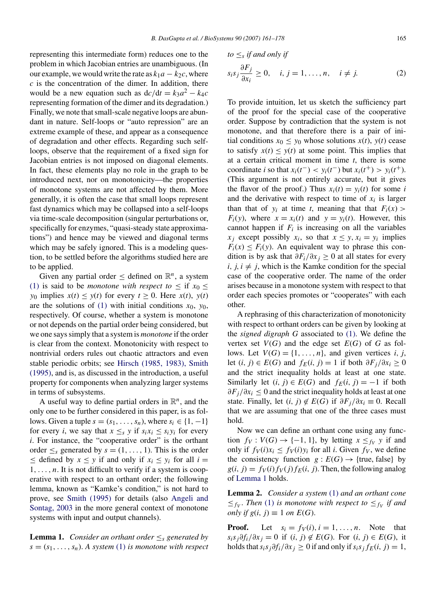<span id="page-4-0"></span>representing this intermediate form) reduces one to the problem in which Jacobian entries are unambiguous. (In our example, we would write the rate as  $k_1a - k_2c$ , where *c* is the concentration of the dimer. In addition, there would be a new equation such as  $dc/dt = k_3a^2 - k_4c$ representing formation of the dimer and its degradation.) Finally, we note that small-scale negative loops are abundant in nature. Self-loops or "auto repression" are an extreme example of these, and appear as a consequence of degradation and other effects. Regarding such selfloops, observe that the requirement of a fixed sign for Jacobian entries is not imposed on diagonal elements. In fact, these elements play no role in the graph to be introduced next, nor on monotonicity—the properties of monotone systems are not affected by them. More generally, it is often the case that small loops represent fast dynamics which may be collapsed into a self-loops via time-scale decomposition (singular perturbations or, specifically for enzymes, "quasi-steady state approximations") and hence may be viewed and diagonal terms which may be safely ignored. This is a modeling question, to be settled before the algorithms studied here are to be applied.

Given any partial order  $\leq$  defined on  $\mathbb{R}^n$ , a system [\(1\)](#page-3-0) is said to be *monotone with respect to*  $\leq$  if  $x_0 \leq$ *y*<sup>0</sup> implies  $x(t) \leq y(t)$  for every  $t \geq 0$ . Here  $x(t)$ ,  $y(t)$ are the solutions of [\(1\)](#page-3-0) with initial conditions  $x_0$ ,  $y_0$ , respectively. Of course, whether a system is monotone or not depends on the partial order being considered, but we one says simply that a system is *monotone* if the order is clear from the context. Monotonicity with respect to nontrivial orders rules out chaotic attractors and even stable periodic orbits; see [Hirsch \(1985, 1983\), Smith](#page-16-0) [\(1995\), a](#page-16-0)nd is, as discussed in the introduction, a useful property for components when analyzing larger systems in terms of subsystems.

A useful way to define partial orders in  $\mathbb{R}^n$ , and the only one to be further considered in this paper, is as follows. Given a tuple  $s = (s_1, \ldots, s_n)$ , where  $s_i \in \{1, -1\}$ for every *i*, we say that  $x \leq_s y$  if  $s_i x_i \leq s_i y_i$  for every *i*. For instance, the "cooperative order" is the orthant order  $\leq$ <sub>s</sub> generated by  $s = (1, \ldots, 1)$ . This is the order ≤ defined by  $x \leq y$  if and only if  $x_i \leq y_i$  for all  $i =$ 1*,...,n*. It is not difficult to verify if a system is cooperative with respect to an orthant order; the following lemma, known as "Kamke's condition," is not hard to prove, see [Smith \(1995\)](#page-17-0) for details (also [Angeli and](#page-16-0) Sontag[, 2003](#page-16-0) in the more general context of monotone systems with input and output channels).

**Lemma 1.** *Consider an orthant order*  $\leq_s$  *generated by*  $s = (s_1, \ldots, s_n)$ . A system [\(1\)](#page-3-0) *is monotone with respect* 

$$
to \leq_s if and only if
$$
  

$$
s_i s_j \frac{\partial F_j}{\partial x_i} \geq 0, \quad i, j = 1, ..., n, \quad i \neq j.
$$
 (2)

To provide intuition, let us sketch the sufficiency part of the proof for the special case of the cooperative order. Suppose by contradiction that the system is not monotone, and that therefore there is a pair of initial conditions  $x_0 \leq y_0$  whose solutions  $x(t)$ ,  $y(t)$  cease to satisfy  $x(t) \leq y(t)$  at some point. This implies that at a certain critical moment in time *t*, there is some coordinate *i* so that  $x_i(t^-) < y_i(t^-)$  but  $x_i(t^+) > y_i(t^+)$ . (This argument is not entirely accurate, but it gives the flavor of the proof.) Thus  $x_i(t) = y_i(t)$  for some *i* and the derivative with respect to time of  $x_i$  is larger than that of  $y_i$  at time *t*, meaning that that  $F_i(x)$  $F_i(y)$ , where  $x = x_i(t)$  and  $y = y_i(t)$ . However, this cannot happen if  $F_i$  is increasing on all the variables  $x_i$  except possibly  $x_i$ , so that  $x \leq y$ ,  $x_i = y_i$  implies  $F_i(x) \leq F_i(y)$ . An equivalent way to phrase this condition is by ask that  $\frac{\partial F_i}{\partial x_j} \geq 0$  at all states for every  $i, j, i \neq j$ , which is the Kamke condition for the special case of the cooperative order. The name of the order arises because in a monotone system with respect to that order each species promotes or "cooperates" with each other.

A rephrasing of this characterization of monotonicity with respect to orthant orders can be given by looking at the *signed digraph G* associated to [\(1\).](#page-3-0) We define the vertex set  $V(G)$  and the edge set  $E(G)$  of  $G$  as follows. Let  $V(G) = \{1, \ldots, n\}$ , and given vertices *i*, *j*, let  $(i, j)$  ∈  $E(G)$  and  $f_E(i, j) = 1$  if both  $\partial F_i / \partial x_i \ge 0$ and the strict inequality holds at least at one state. Similarly let  $(i, j) \in E(G)$  and  $f_E(i, j) = -1$  if both *∂Fj/∂xi* ≤ 0 and the strict inequality holds at least at one state. Finally, let  $(i, j) \notin E(G)$  if  $\partial F_j/\partial x_i \equiv 0$ . Recall that we are assuming that one of the three cases must hold.

Now we can define an orthant cone using any function  $f_V: V(G) \rightarrow \{-1, 1\}$ , by letting  $x \leq f_V y$  if and only if  $f_V(i)x_i \leq f_V(i)y_i$  for all *i*. Given  $f_V$ , we define the consistency function  $g: E(G) \to \{true, false\}$  by  $g(i, j) = f_V(i) f_V(j) f_E(i, j)$ . Then, the following analog of Lemma 1 holds.

**Lemma 2.** *Consider a system* [\(1\)](#page-3-0) *and an orthant cone*  $\leq f_V$ . *Then* [\(1\)](#page-3-0) *is monotone with respect to*  $\leq f_V$  *if and only if*  $g(i, j) \equiv 1$  *on*  $E(G)$ .

**Proof.** Let  $s_i = f_V(i), i = 1, \ldots, n$ . Note that *s*<sub>i</sub>s<sub>j</sub>∂f<sub>i</sub>/∂x<sub>j</sub> = 0 if (*i, j*) ∉ *E*(*G*). For (*i, j*) ∈ *E*(*G*), it holds that  $s_i s_j \partial f_i / \partial x_j \geq 0$  if and only if  $s_i s_j f_E(i, j) = 1$ ,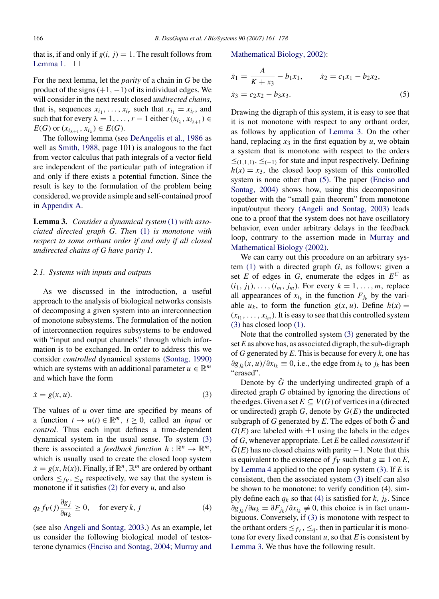<span id="page-5-0"></span>that is, if and only if  $g(i, j) = 1$ . The result follows from [Lemma 1.](#page-4-0)  $\Box$ 

For the next lemma, let the *parity* of a chain in *G* be the product of the signs  $(+1, -1)$  of its individual edges. We will consider in the next result closed *undirected chains*, that is, sequences  $x_{i_1}, \ldots, x_{i_r}$  such that  $x_{i_1} = x_{i_r}$ , and such that for every  $\lambda = 1, \ldots, r - 1$  either  $(x_{i_{\lambda}}, x_{i_{\lambda+1}}) \in$ *E*(*G*) or  $(x_{i_{\lambda+1}}, x_{i_{\lambda}}) \in E(G)$ .

The following lemma (see [DeAngelis et al., 1986](#page-16-0) as well as [Smith, 1988,](#page-17-0) page 101) is analogous to the fact from vector calculus that path integrals of a vector field are independent of the particular path of integration if and only if there exists a potential function. Since the result is key to the formulation of the problem being considered, we provide a simple and self-contained proof in [Appendix A.](#page-14-0)

**Lemma 3.** *Consider a dynamical system* [\(1\)](#page-3-0) *with associated directed graph G*. *Then* [\(1\)](#page-3-0) *is monotone with respect to some orthant order if and only if all closed undirected chains of G have parity 1*.

#### *2.1. Systems with inputs and outputs*

As we discussed in the introduction, a useful approach to the analysis of biological networks consists of decomposing a given system into an interconnection of monotone subsystems. The formulation of the notion of interconnection requires subsystems to be endowed with "input and output channels" through which information is to be exchanged. In order to address this we consider *controlled* dynamical systems [\(Sontag, 1990\)](#page-17-0) which are systems with an additional parameter  $u \in \mathbb{R}^m$ and which have the form

$$
\dot{x} = g(x, u). \tag{3}
$$

The values of *u* over time are specified by means of a function  $t \to u(t) \in \mathbb{R}^m$ ,  $t \geq 0$ , called an *input* or *control*. Thus each input defines a time-dependent dynamical system in the usual sense. To system (3) there is associated a *feedback function*  $h : \mathbb{R}^n \to \mathbb{R}^m$ , which is usually used to create the closed loop system  $\dot{x} = g(x, h(x))$ . Finally, if  $\mathbb{R}^n$ ,  $\mathbb{R}^m$  are ordered by orthant orders  $\leq f_V$ ,  $\leq_q$  respectively, we say that the system is monotone if it satisfies [\(2\)](#page-4-0) for every *u*, and also

$$
q_k f_V(j) \frac{\partial g_j}{\partial u_k} \ge 0, \quad \text{for every } k, j \tag{4}
$$

(see also [Angeli and Sontag, 2003.\)](#page-16-0) As an example, let us consider the following biological model of testosterone dynamics [\(Enciso and Sontag, 2004; M](#page-16-0)urray and

### Mathematical Biology[, 2002\):](#page-16-0)

$$
\dot{x}_1 = \frac{A}{K + x_3} - b_1 x_1, \qquad \dot{x}_2 = c_1 x_1 - b_2 x_2, \n\dot{x}_3 = c_2 x_2 - b_3 x_3.
$$
\n(5)

Drawing the digraph of this system, it is easy to see that it is not monotone with respect to any orthant order, as follows by application of Lemma 3. On the other hand, replacing  $x_3$  in the first equation by  $u$ , we obtain a system that is monotone with respect to the orders  $≤$ (1,1,1)<sup>*,*</sup> ≤(−1)</sub> for state and input respectively. Defining  $h(x) = x_3$ , the closed loop system of this controlled system is none other than (5). The paper [\(Enciso and](#page-16-0) Sonta[g, 2004\)](#page-16-0) shows how, using this decomposition together with the "small gain theorem" from monotone input/output theory [\(Angeli and Sontag, 2003\)](#page-16-0) leads one to a proof that the system does not have oscillatory behavior, even under arbitrary delays in the feedback loop, contrary to the assertion made in [Murray and](#page-17-0) Mathematical Biology [\(2002\).](#page-17-0)

We can carry out this procedure on an arbitrary system [\(1\)](#page-3-0) with a directed graph *G*, as follows: given a set *E* of edges in *G*, enumerate the edges in  $E^C$  as  $(i_1, j_1), \ldots, (i_m, j_m)$ . For every  $k = 1, \ldots, m$ , replace all appearances of  $x_{i_k}$  in the function  $F_{i_k}$  by the variable  $u_k$ , to form the function  $g(x, u)$ . Define  $h(x) =$  $(x_{i_1}, \ldots, x_{i_m})$ . It is easy to see that this controlled system (3) has closed loop [\(1\).](#page-3-0)

Note that the controlled system (3) generated by the set *E* as above has, as associated digraph, the sub-digraph of *G* generated by *E*. This is because for every *k*, one has  $∂g<sub>jk</sub>(x, u)/∂x<sub>i<sub>k</sub></sub> ≡ 0$ , i.e., the edge from  $i<sub>k</sub>$  to  $j<sub>k</sub>$  has been "erased".

Denote by  $\hat{G}$  the underlying undirected graph of a directed graph *G* obtained by ignoring the directions of the edges. Given a set  $E \subseteq V(G)$  of vertices in a (directed or undirected) graph  $G$ , denote by  $G(E)$  the undirected subgraph of *G* generated by  $E$ . The edges of both  $\hat{G}$  and  $G(E)$  are labeled with  $\pm 1$  using the labels in the edges of *G*, whenever appropriate. Let *E* be called *consistent* if  $G(E)$  has no closed chains with parity  $-1$ . Note that this is equivalent to the existence of  $f_V$  such that  $g \equiv 1$  on  $E$ , by [Lemma 4](#page-6-0) applied to the open loop system (3). If *E* is consistent, then the associated system (3) itself can also be shown to be monotone: to verify condition (4), simply define each  $q_k$  so that (4) is satisfied for  $k$ ,  $j_k$ . Since  $∂g_{ik}/∂u_k = ∂F_{ik}/∂x_{ik} \neq 0$ , this choice is in fact unambiguous. Conversely, if (3) is monotone with respect to the orthant orders  $\leq_{f_V}$ ,  $\leq_q$ , then in particular it is monotone for every fixed constant  $u$ , so that  $E$  is consistent by [Lemma 3. We thus](#page-16-0) have the following result.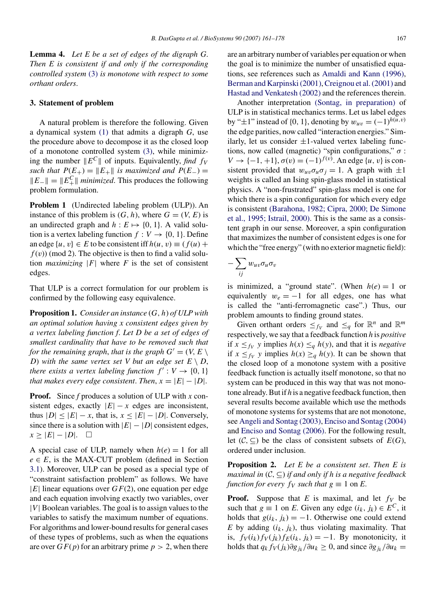<span id="page-6-0"></span>**Lemma 4.** *Let E be a set of edges of the digraph G*. *Then E is consistent if and only if the corresponding controlled system* [\(3\)](#page-5-0) *is monotone with respect to some orthant orders*.

## **3. Statement of problem**

A natural problem is therefore the following. Given a dynamical system [\(1\)](#page-3-0) that admits a digraph *G*, use the procedure above to decompose it as the closed loop of a monotone controlled system [\(3\),](#page-5-0) while minimizing the number  $||E^C||$  of inputs. Equivalently, *find*  $f_V$ *such that*  $P(E_{+}) = ||E_{+}||$  *is maximized and*  $P(E_{-}) =$  $||E-|| = ||E_+^C||$  *minimized*. This produces the following problem formulation.

**Problem 1** (Undirected labeling problem (ULP)). An instance of this problem is  $(G, h)$ , where  $G = (V, E)$  is an undirected graph and  $h: E \mapsto \{0, 1\}$ . A valid solution is a vertex labeling function  $f: V \rightarrow \{0, 1\}$ . Define an edge  $\{u, v\} \in E$  to be consistent iff  $h(u, v) \equiv (f(u) +$  $f(v)$  (mod 2). The objective is then to find a valid solution *maximizing*  $|F|$  where *F* is the set of consistent edges.

That ULP is a correct formulation for our problem is confirmed by the following easy equivalence.

**Proposition 1.** *Consider an instance* (*G, h*) *of ULP with an optimal solution having x consistent edges given by a vertex labeling function f*. *Let D be a set of edges of smallest cardinality that have to be removed such that for the remaining graph, that is the graph*  $G' = (V, E \setminus E)$ *D*) with the same vertex set V but an edge set  $E \setminus D$ , *there exists a vertex labeling function*  $f' : V \rightarrow \{0, 1\}$ *that makes every edge consistent. Then,*  $x = |E| - |D|$ .

**Proof.** Since *f* produces a solution of ULP with *x* consistent edges, exactly  $|E| - x$  edges are inconsistent, thus  $|D| \leq |E| - x$ , that is,  $x \leq |E| - |D|$ . Conversely, since there is a solution with  $|E| - |D|$  consistent edges,  $x \geq |E| - |D|$ .  $□$ 

A special case of ULP, namely when  $h(e) = 1$  for all  $e \in E$ , is the MAX-CUT problem (defined in Section [3.1\).](#page-7-0) Moreover, ULP can be posed as a special type of "constraint satisfaction problem" as follows. We have |*E*| linear equations over *GF*(2), one equation per edge and each equation involving exactly two variables, over |*V*| Boolean variables. The goal is to assign values to the variables to satisfy the maximum number of equations. For algorithms and lower-bound results for general cases of these types of problems, such as when the equations are over  $GF(p)$  for an arbitrary prime  $p > 2$ , when there are an arbitrary number of variables per equation or when the goal is to minimize the number of unsatisfied equations, see references such as [Amaldi and Kann \(1996\),](#page-16-0) Berman and Karpinski (2001), Creignou et al. (2001) and [Hastad and Venkatesh \(2002\)](#page-16-0) and the references therein.

Another interpretation [\(Sontag, in preparation\)](#page-17-0) of ULP is in statistical mechanics terms. Let us label edges by " $\pm 1$ " instead of {0, 1}, denoting by  $w_{uv} = (-1)^{h(u,v)}$ the edge parities, now called "interaction energies." Similarly, let us consider  $\pm 1$ -valued vertex labeling functions, now called (magnetic) "spin configurations," *σ* : *V* → {-1, +1},  $\sigma(v) = (-1)^{f(v)}$ . An edge {*u*, *v*} is consistent provided that  $w_{uv}\sigma_u\sigma_i = 1$ . A graph with  $\pm 1$ weights is called an Ising spin-glass model in statistical physics. A "non-frustrated" spin-glass model is one for which there is a spin configuration for which every edge is consistent [\(Barahona, 1982; Cipra, 2000; De Simone](#page-16-0) et al.[, 1995; Istrail, 2000\).](#page-16-0) This is the same as a consistent graph in our sense. Moreover, a spin configuration that maximizes the number of consistent edges is one for which the "free energy" (with no exterior magnetic field):

$$
-\sum_{ij} w_{uv} \sigma_u \sigma_v
$$

is minimized, a "ground state". (When  $h(e) = 1$  or equivalently  $w_e = -1$  for all edges, one has what is called the "anti-ferromagnetic case".) Thus, our problem amounts to finding ground states.

Given orthant orders  $\leq_{f_V}$  and  $\leq_q$  for  $\mathbb{R}^n$  and  $\mathbb{R}^m$ respectively, we say that a feedback function *h* is *positive* if  $x \leq f_V$  *y* implies  $h(x) \leq_q h(y)$ , and that it is *negative* if  $x \leq f_V$  *y* implies  $h(x) \geq_g h(y)$ . It can be shown that the closed loop of a monotone system with a positive feedback function is actually itself monotone, so that no system can be produced in this way that was not monotone already. But if *h* is a negative feedback function, then several results become available which use the methods of monotone systems for systems that are not monotone, see [Angeli and Sontag \(2003\),](#page-16-0) [Enciso and Sontag \(2004\)](#page-16-0) and [Enciso and Sontag \(2006\). F](#page-16-0)or the following result, let  $(C, \subseteq)$  be the class of consistent subsets of  $E(G)$ , ordered under inclusion.

**Proposition 2.** *Let E be a consistent set*. *Then E is maximal in* (C*,* ⊆) *if and only if h is a negative feedback function for every*  $f_V$  *such that*  $g \equiv 1$  on *E*.

**Proof.** Suppose that *E* is maximal, and let  $f_V$  be such that  $g \equiv 1$  on *E*. Given any edge  $(i_k, j_k) \in E^C$ , it holds that  $g(i_k, j_k) = -1$ . Otherwise one could extend  $E$  by adding  $(i_k, j_k)$ , thus violating maximality. That is,  $f_V(i_k) f_V(j_k) f_E(i_k, j_k) = -1$ . By monotonicity, it holds that  $q_k f_V(j_k) \frac{\partial g_{jk}}{\partial u_k} \geq 0$ , and since  $\frac{\partial g_{jk}}{\partial u_k} =$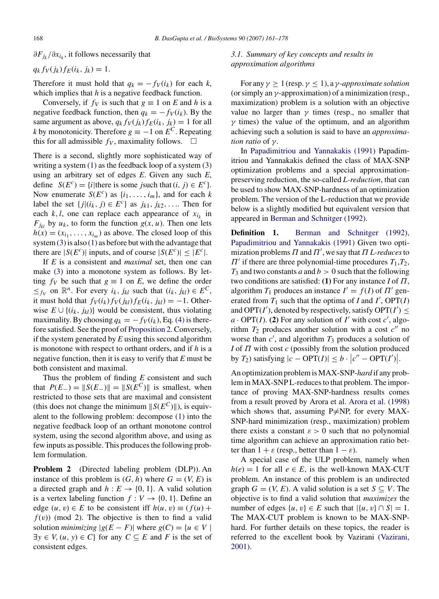<span id="page-7-0"></span>*∂F<sub>ik</sub>/∂x<sub>ik</sub>*, it follows necessarily that

$$
q_k f_V(j_k) f_E(i_k, j_k) = 1.
$$

Therefore it must hold that  $q_k = -f_V(i_k)$  for each  $k$ , which implies that *h* is a negative feedback function.

Conversely, if  $f_V$  is such that  $g \equiv 1$  on *E* and *h* is a negative feedback function, then  $q_k = -f_V(i_k)$ . By the same argument as above,  $q_k f_V(i_k) f_E(i_k, i_k) = 1$  for all *k* by monotonicity. Therefore  $g \equiv -1$  on  $E^C$ . Repeating this for all admissible  $f_V$ , maximality follows.

There is a second, slightly more sophisticated way of writing a system [\(1\)](#page-3-0) as the feedback loop of a system [\(3\)](#page-5-0) using an arbitrary set of edges *E*. Given any such *E*, define  $S(E^c) = \{i | \text{there is some } j \text{ such that } (i, j) \in E^c \}.$ Now enumerate  $S(E^c)$  as  $\{i_1, \ldots, i_m\}$ , and for each *k* label the set  $\{j|(i_k, j) \in E^c\}$  as  $j_{k1}, j_{k2}, \ldots$  Then for each  $k, l$ , one can replace each appearance of  $x_{i_k}$  in  $F_{jk}$  by  $u_k$ , to form the function  $g(x, u)$ . Then one lets  $h(x) = (x_{i_1}, \ldots, x_{i_m})$  as above. The closed loop of this system  $(3)$  is also  $(1)$  as before but with the advantage that there are  $|S(E^c)|$  inputs, and of course  $|S(E^c)| \leq |E^c|$ .

If *E* is a consistent and *maximal* set, then one can make [\(3\)](#page-5-0) into a monotone system as follows. By letting  $f_V$  be such that  $g \equiv 1$  on *E*, we define the order  $\leq f_V$  on  $\mathbb{R}^n$ . For every  $i_k$ ,  $j_{kl}$  such that  $(i_k, j_{kl}) \in E^C$ , it must hold that  $f_V(i_k) f_V(j_{kl}) f_E(i_k, j_{kl}) = -1$ . Otherwise  $E \cup \{(i_k, j_k)\}\)$  would be consistent, thus violating maximality. By choosing  $q_k = -f_V(i_k)$ , Eq. [\(4\)](#page-5-0) is therefore satisfied. See the proof of [Proposition 2. C](#page-6-0)onversely, if the system generated by *E* using this second algorithm is monotone with respect to orthant orders, and if *h* is a negative function, then it is easy to verify that *E* must be both consistent and maximal.

Thus the problem of finding *E* consistent and such that  $P(E_{-}) = ||S(E_{-})|| = ||S(E^{C})||$  is smallest, when restricted to those sets that are maximal and consistent (this does not change the minimum  $||S(E^C)||$ ), is equivalent to the following problem: decompose [\(1\)](#page-3-0) into the negative feedback loop of an orthant monotone control system, using the second algorithm above, and using as few inputs as possible. This produces the following problem formulation.

**Problem 2** (Directed labeling problem (DLP)). An instance of this problem is  $(G, h)$  where  $G = (V, E)$  is a directed graph and  $h: E \rightarrow \{0, 1\}$ . A valid solution is a vertex labeling function  $f: V \rightarrow \{0, 1\}$ . Define an edge  $(u, v) \in E$  to be consistent iff  $h(u, v) \equiv (f(u) +$  $f(v)$ ) (mod 2). The objective is then to find a valid solution *minimizing*  $|g(E - F)|$  where  $g(C) = \{u \in V \mid$  $\exists y \in V, (u, y) \in C$  for any  $C \subseteq E$  and *F* is the set of consistent edges.

# *3.1. Summary of key concepts and results in approximation algorithms*

For any  $\gamma \geq 1$  (resp.  $\gamma \leq 1$ ), a  $\gamma$ -*approximate solution* (or simply an *γ*-approximation) of a minimization (resp., maximization) problem is a solution with an objective value no larger than  $\gamma$  times (resp., no smaller that  $\gamma$  times) the value of the optimum, and an algorithm achieving such a solution is said to have an *approximation ratio* of *γ*.

In [Papadimitriou and Yannakakis \(1991\)](#page-17-0) Papadimitriou and Yannakakis defined the class of MAX-SNP optimization problems and a special approximationpreserving reduction, the so-called *L-reduction*, that can be used to show MAX-SNP-hardness of an optimization problem. The version of the L-reduction that we provide below is a slightly modified but equivalent version that appeared in [Berman and Schnitger \(1992\).](#page-16-0)

**Definition 1.** [Berman and Schnitg](#page-16-0)er [\(1992\),](#page-16-0) [Papadimitriou and Yannakakis \(1991\)](#page-16-0) Given two optimization problems *Π* and *Π* , we say that *Π L-reduces*to  $\Pi'$  if there are three polynomial-time procedures  $T_1, T_2,$  $T_3$  and two constants *a* and  $b > 0$  such that the following two conditions are satisfied: **(1)** For any instance *I* of *Π*, algorithm  $T_1$  produces an instance  $I' = f(I)$  of  $\Pi'$  generated from  $T_1$  such that the optima of *I* and *I'*,  $OPT(I)$ and OPT( $I'$ ), denoted by respectively, satisfy OPT( $I'$ )  $\leq$  $a \cdot \text{OPT}(I)$ . (2) For any solution of *I'* with cost  $c'$ , algorithm  $T_2$  produces another solution with a cost  $c''$  no worse than  $c'$ , and algorithm  $T_3$  produces a solution of *I* of *Π* with cost *c* (possibly from the solution produced by  $T_2$ ) satisfying  $|c - \text{OPT}(I)| \le b \cdot |c'' - \text{OPT}(I')|$ .

An optimization problem is MAX-SNP-*hard* if any problem in MAX-SNP L-reduces to that problem. The importance of proving MAX-SNP-hardness results comes from a result proved by Arora et al. [Arora et al. \(1998\)](#page-16-0) which shows that, assuming  $P \neq NP$ , for every MAX-SNP-hard minimization (resp., maximization) problem there exists a constant  $\varepsilon > 0$  such that no polynomial time algorithm can achieve an approximation ratio better than  $1 + \varepsilon$  (resp., better than  $1 - \varepsilon$ ).

A special case of the ULP problem, namely when  $h(e) = 1$  for all  $e \in E$ , is the well-known MAX-CUT problem. An instance of this problem is an undirected graph  $G = (V, E)$ . A valid solution is a set  $S \subseteq V$ . The objective is to find a valid solution that *maximizes* the number of edges  $\{u, v\} \in E$  such that  $|\{u, v\} \cap S| = 1$ . The MAX-CUT problem is known to be MAX-SNPhard. For further details on these topics, the reader is referred to the excellent book by Vazirani [\(Vazirani,](#page-17-0) [2001\).](#page-17-0)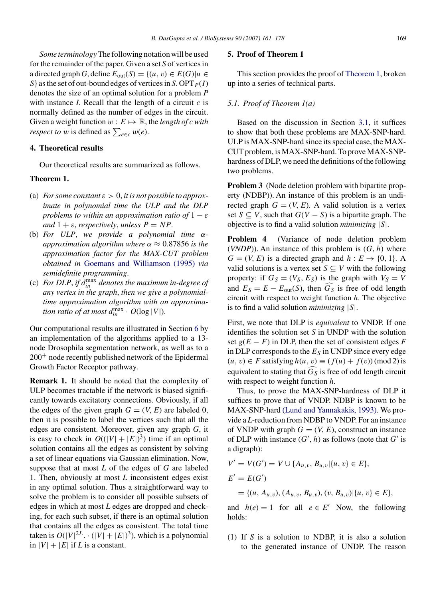<span id="page-8-0"></span>*Some terminology*The following notation will be used for the remainder of the paper. Given a set *S* of vertices in a directed graph *G*, define  $E_{out}(S) = \{(u, v) \in E(G) | u \in$ *S*} as the set of out-bound edges of vertices in *S*. OPT $_{P}(I)$ denotes the size of an optimal solution for a problem *P* with instance *I*. Recall that the length of a circuit *c* is normally defined as the number of edges in the circuit. Given a weight function  $w : E \mapsto \mathbb{R}$ , the *length of c with respect to w* is defined as  $\sum_{e \in c} w(e)$ .

## **4. Theoretical results**

Our theoretical results are summarized as follows.

#### **Theorem 1.**

- (a) *For some constant*  $\varepsilon > 0$ , *it is not possible to approximate in polynomial time the ULP and the DLP problems to within an approximation ratio of*  $1 - \varepsilon$ *and*  $1 + \varepsilon$ *, respectively, unless*  $P = NP$ .
- (b) *For ULP*, *we provide a polynomial time αapproximation algorithm where α* ≈ 0*.*87856 *is the approximation factor for the MAX-CUT problem obtained in* [Goemans and Williamson \(1995\)](#page-16-0) *via semidefinite programming*.
- (c) For DLP, if  $d_{in}^{\max}$  denotes the maximum in-degree of *any vertex in the graph*, *then we give a polynomialtime approximation algorithm with an approximation ratio of at most*  $d_{in}^{\max} \cdot O(\log |V|)$ .

Our computational results are illustrated in Section [6](#page-10-0) by an implementation of the algorithms applied to a 13 node Drosophila segmentation network, as well as to a  $200<sup>+</sup>$  node recently published network of the Epidermal Growth Factor Receptor pathway.

**Remark 1.** It should be noted that the complexity of ULP becomes tractable if the network is biased significantly towards excitatory connections. Obviously, if all the edges of the given graph  $G = (V, E)$  are labeled 0, then it is possible to label the vertices such that all the edges are consistent. Moreover, given any graph *G*, it is easy to check in  $O((|V|+|E|)^3)$  time if an optimal solution contains all the edges as consistent by solving a set of linear equations via Gaussian elimination. Now, suppose that at most *L* of the edges of *G* are labeled 1. Then, obviously at most *L* inconsistent edges exist in any optimal solution. Thus a straightforward way to solve the problem is to consider all possible subsets of edges in which at most *L* edges are dropped and checking, for each such subset, if there is an optimal solution that contains all the edges as consistent. The total time taken is  $O(|V|^{2L} \cdot (|V| + |E|)^3)$ , which is a polynomial in  $|V| + |E|$  if *L* is a constant.

#### **5. Proof of Theorem 1**

This section provides the proof of Theorem 1, broken up into a series of technical parts.

#### *5.1. Proof of Theorem 1(a)*

Based on the discussion in Section [3.1,](#page-7-0) it suffices to show that both these problems are MAX-SNP-hard. ULP is MAX-SNP-hard since its special case, the MAX-CUT problem, is MAX-SNP-hard. To prove MAX-SNPhardness of DLP, we need the definitions of the following two problems.

**Problem 3** (Node deletion problem with bipartite property (NDBP)). An instance of this problem is an undirected graph  $G = (V, E)$ . A valid solution is a vertex set *S* ⊆ *V*, such that  $G(V - S)$  is a bipartite graph. The objective is to find a valid solution *minimizing* |*S*|.

**Problem 4** (Variance of node deletion problem (*VNDP*)). An instance of this problem is (*G, h*) where  $G = (V, E)$  is a directed graph and  $h : E \rightarrow \{0, 1\}$ . A valid solutions is a vertex set  $S \subseteq V$  with the following property: if  $G_S = (V_S, E_S)$  is the graph with  $V_S = V$ and  $E_S = E - E_{out}(S)$ , then  $G_S$  is free of odd length circuit with respect to weight function *h*. The objective is to find a valid solution *minimizing* |*S*|.

First, we note that DLP is *equivalent* to VNDP. If one identifies the solution set *S* in UNDP with the solution set  $g(E - F)$  in DLP, then the set of consistent edges *F* in DLP corresponds to the  $E<sub>S</sub>$  in UNDP since every edge  $(u, v) ∈ F$  satisfying  $h(u, v) ≡ (f(u) + f(v))$  (mod 2) is equivalent to stating that *G <sup>S</sup>* is free of odd length circuit with respect to weight function *h*.

Thus, to prove the MAX-SNP-hardness of DLP it suffices to prove that of VNDP. NDBP is known to be MAX-SNP-hard [\(Lund and Yannakakis, 1993\). W](#page-16-0)e provide a *L*-reduction from NDBP to VNDP. For an instance of VNDP with graph  $G = (V, E)$ , construct an instance of DLP with instance  $(G', h)$  as follows (note that  $G'$  is a digraph):

$$
V' = V(G') = V \cup \{A_{u,v}, B_{u,v} | \{u, v\} \in E\},
$$
  
\n
$$
E' = E(G')
$$
  
\n
$$
= \{(u, A_{u,v}), (A_{u,v}, B_{u,v}), (v, B_{u,v}) | \{u, v\} \in E\},
$$

and  $h(e) = 1$  for all  $e \in E'$  Now, the following holds:

(1) If *S* is a solution to NDBP, it is also a solution to the generated instance of UNDP. The reason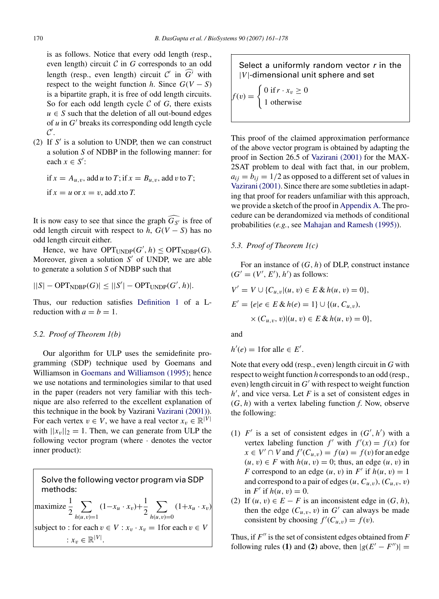<span id="page-9-0"></span>is as follows. Notice that every odd length (resp., even length) circuit  $C$  in  $G$  corresponds to an odd length (resp., even length) circuit  $C'$  in  $\widehat{G'}$  with respect to the weight function *h*. Since  $G(V - S)$ is a bipartite graph, it is free of odd length circuits. So for each odd length cycle  $C$  of  $G$ , there exists  $u \in S$  such that the deletion of all out-bound edges of  $u$  in  $G'$  breaks its corresponding odd length cycle  $\mathcal{C}'$ .

(2) If  $S'$  is a solution to UNDP, then we can construct a solution *S* of NDBP in the following manner: for each  $x \in S'$ :

if  $x = A_{u,v}$ , add *u* to *T*; if  $x = B_{u,v}$ , add *v* to *T*; if  $x = u$  or  $x = v$ , add xto *T*.

It is now easy to see that since the graph  $G_{S'}$  is free of odd length circuit with respect to *h*,  $G(V - S)$  has no odd length circuit either.

Hence, we have  $\text{OPT}_{\text{UNDP}}(G', h) \leq \text{OPT}_{\text{NDBP}}(G)$ . Moreover, given a solution  $S'$  of UNDP, we are able to generate a solution *S* of NDBP such that

$$
||S| - \text{OPT}_{\text{NDBP}}(G)| \leq ||S'| - \text{OPT}_{\text{UNDP}}(G', h)|.
$$

Thus, our reduction satisfies [Definition 1](#page-7-0) of a Lreduction with  $a = b = 1$ .

## *5.2. Proof of Theorem 1(b)*

Our algorithm for ULP uses the semidefinite programming (SDP) technique used by Goemans and Williamson in [Goemans and Williamson \(1995\);](#page-16-0) hence we use notations and terminologies similar to that used in the paper (readers not very familiar with this technique are also referred to the excellent explanation of this technique in the book by Vazirani [Vazirani \(2001\)\).](#page-17-0) For each vertex  $v \in V$ , we have a real vector  $x_v \in \mathbb{R}^{|V|}$ with  $||x_v||_2 = 1$ . Then, we can generate from ULP the following vector program (where · denotes the vector inner product):

Solve the following vector program via SDP methods: maximize  $\frac{1}{2}$ 2  $\overline{\phantom{0}}$  $h(u,v)=1$  $(1-x_u \cdot x_v) + \frac{1}{2}$ 2  $\overline{\phantom{0}}$  $h(u, v) = 0$  $(1+x_u \cdot x_v)$ subject to : for each  $v \in V : x_v \cdot x_v = 1$  for each  $v \in V$ :  $x_v \in \mathbb{R}^{|V|}$ .

Select a uniformly random vector  $r$  in the |*V*|-dimensional unit sphere and set

$$
f(v) = \begin{cases} 0 \text{ if } r \cdot x_v \ge 0\\ 1 \text{ otherwise} \end{cases}
$$

This proof of the claimed approximation performance of the above vector program is obtained by adapting the proof in Section 26.5 of [Vazirani \(2001\)](#page-17-0) for the MAX-2SAT problem to deal with fact that, in our problem,  $a_{ij} = b_{ij} = 1/2$  as opposed to a different set of values in [Vazirani \(2001\). S](#page-17-0)ince there are some subtleties in adapting that proof for readers unfamiliar with this approach, we provide a sketch of the proof in [Appendix A. T](#page-14-0)he procedure can be derandomized via methods of conditional probabilities (*e.g.*, see [Mahajan and Ramesh \(1995\)\).](#page-16-0)

#### *5.3. Proof of Theorem 1(c)*

For an instance of (*G, h*) of DLP, construct instance  $(G' = (V', E'), h')$  as follows:

$$
V' = V \cup \{C_{u,v} | (u, v) \in E \& h(u, v) = 0 \},
$$
  

$$
E' = \{ e | e \in E \& h(e) = 1 \} \cup \{ (u, C_{u,v}),
$$

$$
\times (C_{u,v}, v)|(u, v) \in E \& h(u, v) = 0\},\
$$

and

$$
h'(e) = 1 \text{for all } e \in E'.
$$

Note that every odd (resp., even) length circuit in *G* with respect to weight function *h* corresponds to an odd (resp., even) length circuit in  $G'$  with respect to weight function  $h'$ , and vice versa. Let  $F$  is a set of consistent edges in (*G, h*) with a vertex labeling function *f*. Now, observe the following:

- (1)  $F'$  is a set of consistent edges in  $(G', h')$  with a vertex labeling function  $f'$  with  $f'(x) = f(x)$  for  $x \in V' \cap V$  and  $f'(C_{u,v}) = f(u) = f(v)$  for an edge  $(u, v) ∈ F$  with  $h(u, v) = 0$ ; thus, an edge  $(u, v)$  in *F* correspond to an edge  $(u, v)$  in *F*' if  $h(u, v) = 1$ and correspond to a pair of edges  $(u, C_{u,v})$ ,  $(C_{u,v}, v)$ in  $F'$  if  $h(u, v) = 0$ .
- (2) If  $(u, v) \in E F$  is an inconsistent edge in  $(G, h)$ , then the edge  $(C_{u,v}, v)$  in  $G'$  can always be made consistent by choosing  $f'(C_{u,v}) = f(v)$ .

Thus, if  $F''$  is the set of consistent edges obtained from  $F$ following rules **(1)** and **(2)** above, then  $|g(E'-F'')|$  =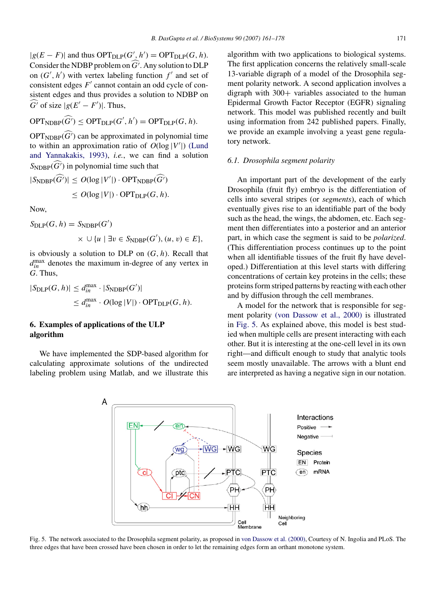<span id="page-10-0"></span> $|g(E - F)|$  and thus  $\text{OPT}_{\text{DLP}}(G', h') = \text{OPT}_{\text{DLP}}(G, h)$ . Consider the NDBP problem on  $\widehat{G}$ . Any solution to DLP on  $(G', h')$  with vertex labeling function  $f'$  and set of consistent edges *F*<sup>'</sup> cannot contain an odd cycle of consistent edges and thus provides a solution to NDBP on  $\widehat{G}$  of size  $|g(E'-F')|$ . Thus,

$$
\text{OPT}_{\text{NDBP}}(\widehat{G'}) \leq \text{OPT}_{\text{DLP}}(G', h') = \text{OPT}_{\text{DLP}}(G, h).
$$

 $OPT_{\text{NDBP}}(\widehat{G'})$  can be approximated in polynomial time to within an approximation ratio of  $O(\log |V'|)$  [\(L](#page-16-0)und and Yannakaki[s, 1993\),](#page-16-0) *i.e.*, we can find a solution  $S_{\text{NDBP}}(\widehat{G'})$  in polynomial time such that

$$
|S_{\text{NDBP}}(\widehat{G'})| \le O(\log |V'|) \cdot \text{OPT}_{\text{NDBP}}(\widehat{G'})
$$
  

$$
\le O(\log |V|) \cdot \text{OPT}_{\text{DLP}}(G, h).
$$

Now,

$$
S_{\text{DLP}}(G, h) = S_{\text{NDBP}}(G')
$$
  
 
$$
\times \cup \{u \mid \exists v \in S_{\text{NDBP}}(G'), (u, v) \in E\},
$$

is obviously a solution to DLP on (*G, h*). Recall that  $d_{in}^{\max}$  denotes the maximum in-degree of any vertex in *G*. Thus,

$$
|S_{\text{DLP}}(G, h)| \le d_{in}^{\max} \cdot |S_{\text{NDBP}}(G')|
$$
  

$$
\le d_{in}^{\max} \cdot O(\log |V|) \cdot \text{OPT}_{\text{DLP}}(G, h).
$$

## **6. Examples of applications of the ULP algorithm**

We have implemented the SDP-based algorithm for calculating approximate solutions of the undirected labeling problem using Matlab, and we illustrate this algorithm with two applications to biological systems. The first application concerns the relatively small-scale 13-variable digraph of a model of the Drosophila segment polarity network. A second application involves a digraph with 300+ variables associated to the human Epidermal Growth Factor Receptor (EGFR) signaling network. This model was published recently and built using information from 242 published papers. Finally, we provide an example involving a yeast gene regula[tory network](#page-16-0).

### *6.1. Drosophila segment polarity*

An important part of the development of the early Drosophila (fruit fly) embryo is the differentiation of cells into several stripes (or *segments*), each of which eventually gives rise to an identifiable part of the body such as the head, the wings, the abdomen, etc. Each segment then differentiates into a posterior and an anterior part, in which case the segment is said to be *polarized*. (This differentiation process continues up to the point when all identifiable tissues of the fruit fly have developed.) Differentiation at this level starts with differing concentrations of certain key proteins in the cells; these proteins form striped patterns by reacting with each other and by diffusion through the cell membranes.

A model for the network that is responsible for segment polarity [\(von Dassow et al., 2000\)](#page-16-0) is illustrated in Fig. 5. As explained above, this model is best studied when multiple cells are present interacting with each other. But it is interesting at the one-cell level in its own right—and difficult enough to study that analytic tools seem mostly unavailable. The arrows with a blunt end are interpreted as having a negative sign in our notation.



Fig. 5. The network associated to the Drosophila segment polarity, as proposed in [von Dassow et al. \(2000\), C](#page-16-0)ourtesy of N. Ingolia and PLoS. The three edges that have been crossed have been chosen in order to let the remaining edges form an orthant monotone system.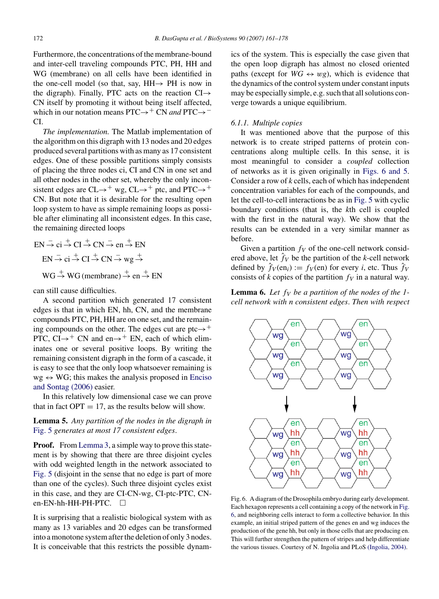Furthermore, the concentrations of the membrane-bound and inter-cell traveling compounds PTC, PH, HH and WG (membrane) on all cells have been identified in the one-cell model (so that, say, HH→ PH is now in the digraph). Finally, PTC acts on the reaction  $CI \rightarrow$ CN itself by promoting it without being itself affected, which in our notation means PTC→<sup>+</sup> CN *and* PTC→<sup>-</sup> CI.

*The implementation.* The Matlab implementation of the algorithm on this digraph with 13 nodes and 20 edges produced several partitions with as many as 17 consistent edges. One of these possible partitions simply consists of placing the three nodes ci, CI and CN in one set and all other nodes in the other set, whereby the only inconsistent edges are  $CL \rightarrow^+$  wg,  $CL \rightarrow^+$  ptc, and PTC $\rightarrow^+$ CN. But note that it is desirable for the resulting open loop system to have as simple remaining loops as possible after eliminating all inconsistent edges. In this case, the remaining directed loops

$$
EN \stackrel{-}{\rightarrow} ci \stackrel{+}{\rightarrow} CI \stackrel{+}{\rightarrow} CN \stackrel{-}{\rightarrow} en \stackrel{+}{\rightarrow} EN
$$
  
\n
$$
EN \stackrel{-}{\rightarrow} ci \stackrel{+}{\rightarrow} CI \stackrel{+}{\rightarrow} CN \stackrel{-}{\rightarrow} wg \stackrel{+}{\rightarrow}
$$
  
\n
$$
WG \stackrel{+}{\rightarrow} WG
$$
(membrane) \stackrel{+}{\rightarrow} en \stackrel{+}{\rightarrow} EN

can still cause difficulties.

A second partition which generated 17 consistent edges is that in which EN, hh, CN, and the membrane compounds PTC, PH, HH are on one set, and the remaining compounds on the other. The edges cut are ptc $\rightarrow$ <sup>+</sup> PTC,  $CI \rightarrow$ <sup>+</sup> CN and en $\rightarrow$ <sup>+</sup> EN, each of which eliminates one or several positive loops. By writing the remaining consistent digraph in the form of a cascade, it is easy to see that the only loop whatsoever remaining is  $wg \leftrightarrow WG$ ; this makes the analysis proposed in [Enciso](#page-16-0) and Sontag [\(2006\)](#page-16-0) easier.

In this relatively low dimensional case we can prove that in fact  $OPT = 17$ , as the results below will show.

**Lemma 5.** *Any partition of the nodes in the digraph in* [Fig. 5](#page-10-0) *generates at most 17 consistent edges*.

**Proof.** From [Lemma 3, a](#page-5-0) simple way to prove this statement is by showing that there are three disjoint cycles with odd weighted length in the network associated to [Fig. 5](#page-10-0) (disjoint in the sense that no edge is part of more than one of the cycles). Such three disjoint cycles exist in this case, and they are CI-CN-wg, CI-ptc-PTC, CNen-EN-hh-HH-PH-PTC.  $\square$ 

It is surprising that a realistic biological system with as many as 13 variables and 20 edges can be transformed into a monotone system after the deletion of only 3 nodes. It is conceivable that this restricts the possible dynamics of the system. This is especially the case given that the open loop digraph has almost no closed oriented paths (except for  $WG \leftrightarrow wg$ ), which is evidence that the dynamics of the control system under constant inputs may be especially simple, e.g. such that all solutions converge towards a unique equilibrium.

#### *6.1.1. Multiple copies*

It was mentioned above that the purpose of this network is to create striped patterns of protein concentrations along multiple cells. In this sense, it is most meaningful to consider a *coupled* collection of networks as it is given originally in Figs. 6 and 5. Consider a row of *k* cells, each of which has independent concentration variables for each of the compounds, and let the cell-to-cell interactions be as in [Fig. 5](#page-10-0) with cyclic boundary conditions (that is, the *k*th cell is coupled with the first in the natural way). We show that the results can be extended in a very similar manner as before.

Given a partition  $f_V$  of the one-cell network considered above, let  $\hat{f}_V$  be the partition of the *k*-cell network defined by  $\hat{f}_V(\text{en}_i) := f_V(\text{en})$  for every *i*, etc. Thus  $\hat{f}_V$ consists of  $k$  copies of the partition  $f_V$  in a natural way.

**Lemma 6.** Let  $f_V$  be a partition of the nodes of the 1*cell network with n consistent edges*. *Then with respect*



Fig. 6. A diagram of the Drosophila embryo during early development. Each hexagon represents a cell containing a copy of the network in Fig. 6, and neighboring cells interact to form a collective behavior. In this example, an initial striped pattern of the genes en and wg induces the production of the gene hh, but only in those cells that are producing en. This will further strengthen the pattern of stripes and help differentiate the various tissues. Courtesy of N. Ingolia and PLoS [\(Ingolia, 2004\).](#page-16-0)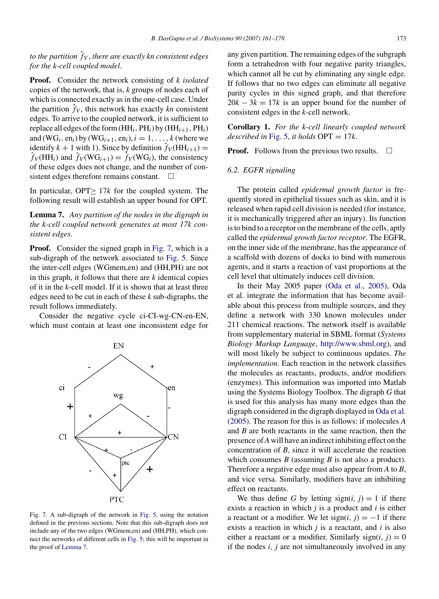*to the partition f*ˆ *<sup>V</sup>* , *there are exactly kn consistent edges for the k-cell coupled model*.

**Proof.** Consider the network consisting of *k isolated* copies of the network, that is, *k* groups of nodes each of which is connected exactly as in the one-cell case. Under the partition  $\hat{f}_V$ , this network has exactly  $kn$  consistent edges. To arrive to the coupled network, it is sufficient to replace all edges of the form  $(HH_i, PH_i)$  by  $(HH_{i+1}, PH_i)$ and  $(WG_i, en_i)$  by  $(WG_{i+1}, en_i), i = 1, ..., k$  (where we identify  $k + 1$  with 1). Since by definition  $\hat{f}_V(HH_{i+1}) =$  $\hat{f}_V(\text{HH}_i)$  and  $\hat{f}_V(\text{WG}_{i+1}) = \hat{f}_V(\text{WG}_i)$ , the consistency of these edges does not change, and the number of consistent edges therefore remains constant.  $\Box$ 

In particular, OPT≥ 17*k* for the coupled system. The following result will establish an upper bound for OPT.

**Lemma 7.** *Any partition of the nodes in the digraph in the k-cell coupled network generates at most 17k consistent edges*.

**Proof.** Consider the signed graph in Fig. 7, which is a sub-digraph of the network associated to [Fig. 5.](#page-10-0) Since the inter-cell edges (WGmem,en) and (HH,PH) are not in this graph, it follows that there are  $k$  identical copies of it in the *k*-cell model. If it is shown that at least three edges need to be cut in each of these *k* sub-digraphs, the result follows immediately.

Consider the negative cycle ci-CI-wg-CN-en-EN, which must contain at least one inconsistent edge for



Fig. 7. A sub-digraph of the network in [Fig. 5,](#page-10-0) using the notation defined in the previous sections. Note that this sub-digraph does not include any of the two edges (WGmem,en) and (HH,PH), which connect the networks of different cells in [Fig. 5; t](#page-10-0)his will be important in the proof of Lemma 7.

any given partition. The remaining edges of the subgraph form a tetrahedron with four negative parity triangles, which cannot all be cut by eliminating any single edge. If follows that no two edges can eliminate all negative parity cycles in this signed graph, and that therefore  $20k - 3k = 17k$  is an upper bound for the number of consistent edges in the *k*-cell network.

**Corollary 1.** *For the k-cell linearly coupled network described in* [Fig. 5,](#page-10-0) *it holds* OPT = 17*k*.

**Proof.** Follows from the previous two results.  $\Box$ 

#### *6.2. EGFR signaling*

The protein called *epidermal growth factor* is frequently stored in epithelial tissues such as skin, and it is released when rapid cell division is needed (for instance, it is mechanically triggered after an injury). Its function is to bind to a receptor on the membrane of the cells, aptly called the *epidermal growth factor receptor*. The EGFR, on the inner side of the membrane, has the appearance of a scaffold with dozens of docks to bind with numerous agents, and it starts a reaction of vast proportions at the cell level that ultimately induces cell division.

In their May 2005 paper [\(Oda et al., 2005\),](#page-17-0) Oda et al. integrate the information that has become available about this process from multiple sources, and they define a network with 330 known molecules under 211 chemical reactions. The network itself is available from supplementary material in SBML format (*Systems Biology Markup Language*, <http://www.sbml.org>), and will most likely be subject to continuous updates. *The implementation.* Each reaction in the network classifies the molecules as reactants, products, and/or modifiers (enzymes). This information was imported into Matlab using the Systems Biology Toolbox. The digraph *G* that is used for this analysis has many more edges than the digraph considered in the digraph displayed in [Oda et al.](#page-17-0) [\(2005\). T](#page-17-0)he reason for this is as follows: if molecules *A* and *B* are both reactants in the same reaction, then the presence of*A* will have an indirect inhibiting effect on the concentration of *B*, since it will accelerate the reaction which consumes *B* (assuming *B* is not also a product). Therefore a negative edge must also appear from *A* to *B*, and vice versa. Similarly, modifiers have an inhibiting effect on reactants.

We thus define G by letting  $sign(i, j) = 1$  if there exists a reaction in which *j* is a product and *i* is either a reactant or a modifier. We let  $sign(i, j) = -1$  if there exists a reaction in which *j* is a reactant, and *i* is also either a reactant or a modifier. Similarly sign( $i$ ,  $j$ ) = 0 if the nodes *i, j* are not simultaneously involved in any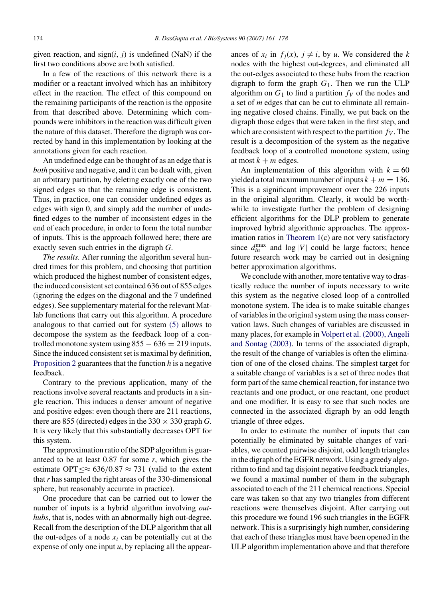given reaction, and  $sign(i, j)$  is undefined (NaN) if the first two conditions above are both satisfied.

In a few of the reactions of this network there is a modifier or a reactant involved which has an inhibitory effect in the reaction. The effect of this compound on the remaining participants of the reaction is the opposite from that described above. Determining which compounds were inhibitors in the reaction was difficult given the nature of this dataset. Therefore the digraph was corrected by hand in this implementation by looking at the annotations given for each reaction.

An undefined edge can be thought of as an edge that is *both* positive and negative, and it can be dealt with, given an arbitrary partition, by deleting exactly one of the two signed edges so that the remaining edge is consistent. Thus, in practice, one can consider undefined edges as edges with sign 0, and simply add the number of undefined edges to the number of inconsistent edges in the end of each procedure, in order to form the total number of inputs. This is the approach followed here; there are exactly seven such entries in the digraph *G*.

*The results.* After running the algorithm several hundred times for this problem, and choosing that partition which produced the highest number of consistent edges, the induced consistent set contained 636 out of 855 edges (ignoring the edges on the diagonal and the 7 undefined edges). See supplementary material for the relevant Matlab functions that carry out this algorithm. A procedure analogous to that carried out for system [\(5\)](#page-5-0) allows to decompose the system as the feedback loop of a controlled monotone system using  $855 - 636 = 219$  inputs. Since the induced consistent set is maximal by definition, [Proposition 2](#page-6-0) guarantees that the function *h* is a negative feedback.

Contrary to the previous application, many of the reactions involve several reactants and products in a single reaction. This induces a denser amount of negative and positive edges: even though there are 211 reactions, there are 855 (directed) edges in the  $330 \times 330$  graph *G*. It is very likely that this substantially decreases OPT for this system.

The approximation ratio of the SDP algorithm is guaranteed to be at least 0.87 for some *r*, which gives the estimate OPT $\leq \approx 636/0.87 \approx 731$  (valid to the extent that*r* has sampled the right areas of the 330-dimensional sphere, but reasonably accurate in practice).

One procedure that can be carried out to lower the number of inputs is a hybrid algorithm involving *outhubs*, that is, nodes with an abnormally high out-degree. Recall from the description of the DLP algorithm that all the out-edges of a node  $x_i$  can be potentially cut at the expense of only one input *u*, by replacing all the appearances of  $x_i$  in  $f_j(x)$ ,  $j \neq i$ , by *u*. We considered the *k* nodes with the highest out-degrees, and eliminated all the out-edges associated to these hubs from the reaction digraph to form the graph  $G_1$ . Then we run the ULP algorithm on  $G_1$  to find a partition  $f_V$  of the nodes and a set of *m* edges that can be cut to eliminate all remaining negative closed chains. Finally, we put back on the digraph those edges that were taken in the first step, and which are consistent with respect to the partition  $f_V$ . The result is a decomposition of the system as the negative feedback loop of a controlled monotone system, using at most  $k + m$  edges.

An implementation of this algorithm with  $k = 60$ yielded a total maximum number of inputs  $k + m = 136$ . This is a significant improvement over the 226 inputs in the original algorithm. Clearly, it would be worthwhile to investigate further the problem of designing efficient algorithms for the DLP problem to generate improved hybrid algorithmic approaches. The approximation ratios in [Theorem 1\(c](#page-8-0)) are not very satisfactory since  $d_{in}^{\text{max}}$  and  $log |V|$  could be large factors; hence future research work may be carried out in designing better approximation algorithms.

We conclude with another, more tentative way to drastically reduce the number of inputs necessary to write this system as the negative closed loop of a controlled monotone system. The idea is to make suitable changes of variables in the original system using the mass conservation laws. Such changes of variables are discussed in many places, for example in [Volpert et al. \(2000\), Angeli](#page-17-0) and Sontag [\(2003\).](#page-17-0) In terms of the associated digraph, the result of the change of variables is often the elimination of one of the closed chains. The simplest target for a suitable change of variables is a set of three nodes that form part of the same chemical reaction, for instance two reactants and one product, or one reactant, one product and one modifier. It is easy to see that such nodes are connected in the associated digraph by an odd length triangle of three edges.

In order to estimate the number of inputs that can potentially be eliminated by suitable changes of variables, we counted pairwise disjoint, odd length triangles in the digraph of the EGFR network. Using a greedy algorithm to find and tag disjoint negative feedback triangles, we found a maximal number of them in the subgraph associated to each of the 211 chemical reactions. Special care was taken so that any two triangles from different reactions were themselves disjoint. After carrying out this procedure we found 196 such triangles in the EGFR network. This is a surprisingly high number, considering that each of these triangles must have been opened in the ULP algorithm implementation above and that therefore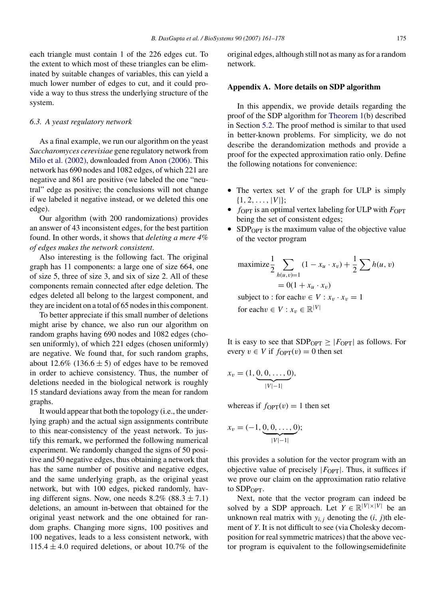<span id="page-14-0"></span>each triangle must contain 1 of the 226 edges cut. To the extent to which most of these triangles can be eliminated by suitable changes of variables, this can yield a much lower number of edges to cut, and it could provide a way to thus stress the underlying structure of the system.

# *6.3. A yeast regulatory network*

As a final example, we run our algorithm on the yeast *Saccharomyces cerevisiae* gene regulatory network from [Milo et al. \(2002\), d](#page-16-0)ownloaded from [Anon \(2006\). T](#page-16-0)his network has 690 nodes and 1082 edges, of which 221 are negative and 861 are positive (we labeled the one "neutral" edge as positive; the conclusions will not change if we labeled it negative instead, or we deleted this one edge).

Our algorithm (with 200 randomizations) provides an answer of 43 inconsistent edges, for the best partition found. In other words, it shows that *deleting a mere 4% of edges makes the network consistent*.

Also interesting is the following fact. The original graph has 11 components: a large one of size 664, one of size 5, three of size 3, and six of size 2. All of these components remain connected after edge deletion. The edges deleted all belong to the largest component, and they are incident on a total of 65 nodes in this component.

To better appreciate if this small number of deletions might arise by chance, we also run our algorithm on random graphs having 690 nodes and 1082 edges (chosen uniformly), of which 221 edges (chosen uniformly) are negative. We found that, for such random graphs, about  $12.6\%$  ( $136.6 \pm 5$ ) of edges have to be removed in order to achieve consistency. Thus, the number of deletions needed in the biological network is roughly 15 standard deviations away from the mean for random graphs.

It would appear that both the topology (i.e., the underlying graph) and the actual sign assignments contribute to this near-consistency of the yeast network. To justify this remark, we performed the following numerical experiment. We randomly changed the signs of 50 positive and 50 negative edges, thus obtaining a network that has the same number of positive and negative edges, and the same underlying graph, as the original yeast network, but with 100 edges, picked randomly, having different signs. Now, one needs  $8.2\%$  ( $88.3 \pm 7.1$ ) deletions, an amount in-between that obtained for the original yeast network and the one obtained for random graphs. Changing more signs, 100 positives and 100 negatives, leads to a less consistent network, with  $115.4 \pm 4.0$  required deletions, or about 10.7% of the

original edges, although still not as many as for a random network.

#### **Appendix A. More details on SDP algorithm**

In this appendix, we provide details regarding the proof of the SDP algorithm for [Theorem 1\(b](#page-8-0)) described in Section [5.2.](#page-9-0) The proof method is similar to that used in better-known problems. For simplicity, we do not describe the derandomization methods and provide a proof for the expected approximation ratio only. Define the following notations for convenience:

- The vertex set *V* of the graph for ULP is simply  $\{1, 2, \ldots, |V|\};$
- $f_{\text{OPT}}$  is an optimal vertex labeling for ULP with  $F_{\text{OPT}}$ being the set of consistent edges;
- SDP<sub>OPT</sub> is the maximum value of the objective value of the vector program

maximize 
$$
\frac{1}{2}
$$
  $\sum_{h(u,v)=1} (1 - x_u \cdot x_v) + \frac{1}{2} \sum_{v \in \{0,1\}} h(u,v)$   
= 0(1 + x\_u \cdot x\_v)

subject to : for each  $v \in V : x_v \cdot x_v = 1$ for each  $v \in V : x_v \in \mathbb{R}^{|V|}$ 

It is easy to see that  $SDP_{OPT} \ge |F_{OPT}|$  as follows. For every  $v \in V$  if  $f_{\text{OPT}}(v) = 0$  then set

$$
x_v = (1, \underbrace{0, 0, \dots, 0}_{|V|-1)},
$$

whereas if  $f_{\text{OPT}}(v) = 1$  then set

$$
x_v = (-1, \underbrace{0, 0, \dots, 0}_{|V|-1|});
$$

this provides a solution for the vector program with an objective value of precisely  $|F_{\text{OPT}}|$ . Thus, it suffices if we prove our claim on the approximation ratio relative to SDP<sub>OPT</sub>.

Next, note that the vector program can indeed be solved by a SDP approach. Let  $Y \in \mathbb{R}^{|V| \times |V|}$  be an unknown real matrix with  $y_{i,j}$  denoting the  $(i, j)$ th element of *Y*. It is not difficult to see (via Cholesky decomposition for real symmetric matrices) that the above vector program is equivalent to the followingsemidefinite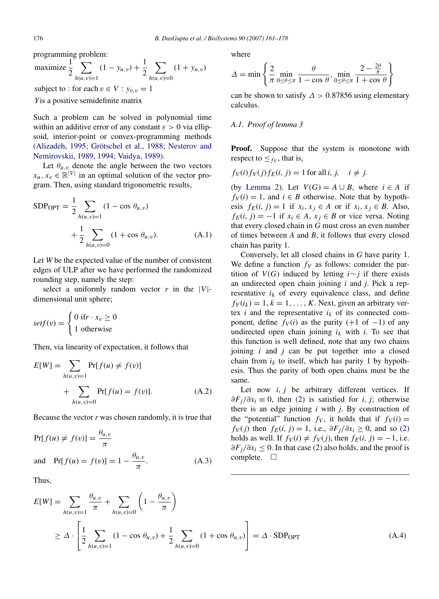programming problem:

maximize 
$$
\frac{1}{2} \sum_{h(u,v)=1}^{1} (1 - y_{u,v}) + \frac{1}{2} \sum_{h(u,v)=0} (1 + y_{u,v})
$$

subject to : for each  $v \in V : y_{v,v} = 1$ 

*Y*is a positive semidefinite matrix

Such a problem can be solved in polynomial time within an additive error of any constant  $\varepsilon > 0$  via ellipsoid, interior-point or convex-programming methods (Alizadeh, 1995; Grötschel et al., 1988; Nesterov and Nemirovskii[, 1989, 1994; Vaidya, 1989\).](#page-16-0)

Let  $\theta_{u,v}$  denote the angle between the two vectors  $x_u, x_v \in \mathbb{R}^{|V|}$  in an optimal solution of the vector program. Then, using standard trigonometric results,

$$
SDP_{OPT} = \frac{1}{2} \sum_{h(u,v)=1} (1 - \cos \theta_{u,v}) + \frac{1}{2} \sum_{h(u,v)=0} (1 + \cos \theta_{u,v}).
$$
 (A.1)

Let *W* be the expected value of the number of consistent edges of ULP after we have performed the randomized rounding step, namely the step:

select a uniformly random vector  $r$  in the  $|V|$ dimensional unit sphere;

$$
setf(v) = \begin{cases} 0 \text{ if } r \cdot x_v \ge 0 \\ 1 \text{ otherwise} \end{cases}
$$

Then, via linearity of expectation, it follows that

$$
E[W] = \sum_{h(u,v)=1} Pr[f(u) \neq f(v)] + \sum_{h(u,v)=0} Pr[f(u) = f(v)].
$$
 (A.2)

Because the vector *r* was chosen randomly, it is true that

$$
Pr[f(u) \neq f(v)] = \frac{\theta_{u,v}}{\pi}
$$
  
and 
$$
Pr[f(u) = f(v)] = 1 - \frac{\theta_{u,v}}{\pi}.
$$
 (A.3)

Thus,

where

$$
\Delta = \min \left\{ \frac{2}{\pi} \min_{0 \le \theta \le \pi} \frac{\theta}{1 - \cos \theta}, \min_{0 \le \theta \le \pi} \frac{2 - \frac{2\theta}{\pi}}{1 + \cos \theta} \right\}
$$

can be shown to satisfy  $\Delta > 0.87856$  using elementary calculus.

## *A.1. Proof of lemma 3*

**Proof.** Suppose that the system is monotone with respect to  $\leq_{f_V}$ , that is,

$$
f_V(i)f_V(j)f_E(i, j) = 1 \text{ for all } i, j, \quad i \neq j.
$$

(by [Lemma 2\)](#page-4-0). Let  $V(G) = A \cup B$ , where  $i \in A$  if  $f_V(i) = 1$ , and  $i \in B$  otherwise. Note that by hypothesis  $f_E(i, j) = 1$  if  $x_i, x_j \in A$  or if  $x_i, x_j \in B$ . Also,  $f_E(i, j) = -1$  if  $x_i \in A$ ,  $x_j \in B$  or vice versa. Noting that every closed chain in *G* must cross an even number of times between *A* and *B*, it follows that every closed chain has parity 1.

Conversely, let all closed chains in *G* have parity 1. We define a function  $f_V$  as follows: consider the partition of  $V(G)$  induced by letting *i*∼*j* if there exists an undirected open chain joining *i* and *j*. Pick a representative  $i_k$  of every equivalence class, and define  $f_V(i_k) = 1, k = 1, \ldots, K$ . Next, given an arbitrary vertex *i* and the representative  $i_k$  of its connected component, define  $f_V(i)$  as the parity (+1 of -1) of any undirected open chain joining  $i_k$  with  $i$ . To see that this function is well defined, note that any two chains joining *i* and *j* can be put together into a closed chain from  $i_k$  to itself, which has parity 1 by hypothesis. Thus the parity of both open chains must be the same.

Let now *i*, *j* be arbitrary different vertices. If *∂Fj/∂xi* ≡ 0, then [\(2\)](#page-4-0) is satisfied for *i, j*; otherwise there is an edge joining *i* with *j*. By construction of the "potential" function  $f_V$ , it holds that if  $f_V(i) =$  $f_V(j)$  then  $f_E(i, j) = 1$ , i.e.,  $\partial F_j/\partial x_i \geq 0$ , and so [\(2\)](#page-4-0) holds as well. If  $f_V(i) \neq f_V(j)$ , then  $f_E(i, j) = -1$ , i.e. *∂Fj/∂xi* ≤ 0. In that case [\(2\)](#page-4-0) also holds, and the proof is complete.  $\square$ 

$$
E[W] = \sum_{h(u,v)=1} \frac{\theta_{u,v}}{\pi} + \sum_{h(u,v)=0} \left( 1 - \frac{\theta_{u,v}}{\pi} \right)
$$
  
 
$$
\geq \Delta \cdot \left[ \frac{1}{2} \sum_{h(u,v)=1} (1 - \cos \theta_{u,v}) + \frac{1}{2} \sum_{h(u,v)=0} (1 + \cos \theta_{u,v}) \right] = \Delta \cdot SDP_{OPT}
$$
 (A.4)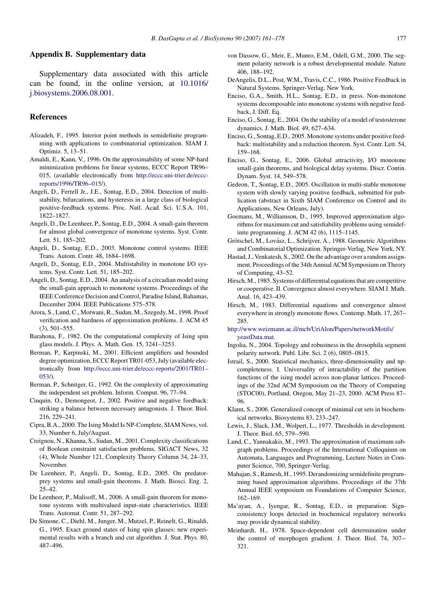### <span id="page-16-0"></span>**Appendix B. Supplementary data**

Supplementary data associated with this article can be found, in the online version, at [10.1016/](10.1016/j.biosystems.2006.08.001) [j.biosystems.2006.08.001.](10.1016/j.biosystems.2006.08.001)

#### **References**

- Alizadeh, F., 1995. Interior point methods in semidefinite programming with applications to combinatorial optimization. SIAM J. Optimiz. 5, 13–51.
- Amaldi, E., Kann, V., 1996. On the approximability of some NP-hard minimization problems for linear systems, ECCC Report TR96– 015, (available electronically from [http://eccc.uni-trier.de/eccc](http://www.eccc.uni-trier.de/eccc-reports/1996/TR96--015/)reports/1996/TR96–015/).
- Angeli, D., Ferrell Jr., J.E., Sontag, E.D., 2004. Detection of multistability, bifurcations, and hysteresis in a large class of biological positive-feedback systems. Proc. Natl. Acad. Sci. U.S.A. 101, 1822–1827.
- Angeli, D., De Leenheer, P., Sontag, E.D., 2004. A small-gain theorem for almost global convergence of monotone systems. Syst. Contr. Lett. 51, 185–202.
- Angeli, D., Sontag, E.D., 2003. Monotone control systems. IEEE Trans. Autom. Contr. 48, 1684–1698.
- Angeli, D., Sontag, E.D., 2004. Multistability in monotone I/O systems. Syst. Contr. Lett. 51, 185–202.
- Angeli, D., Sontag, E.D., 2004. An analysis of a circadian model using the small-gain approach to monotone systems. Proceedings of the IEEE Conference Decision and Control, Paradise Island, Bahamas, December 2004. IEEE Publications 575–578.
- Arora, S., Lund, C., Motwani, R., Sudan, M., Szegedy, M., 1998. Proof verification and hardness of approximation problems. J. ACM 45 (3), 501–555.
- Barahona, F., 1982. On the computational complexity of Ising spin glass models. J. Phys. A. Math. Gen. 15, 3241–3253.
- Berman, P., Karpinski, M., 2001. Efficient amplifiers and bounded degree optimization, ECCC Report TR01-053, July (available electronically from [http://eccc.uni-trier.de/eccc-reports/2001/TR01–](http://www.eccc.uni-trier.de/eccc-reports/2001/TR01--053/) 053/).
- Berman, P., Schnitger, G., 1992. On the complexity of approximating the independent set problem. Inform. Comput. 96, 77–94.
- Cinquin, O., Demongeot, J., 2002. Positive and negative feedback: striking a balance between necessary antagonists. J. Theor. Biol. 216, 229–241.
- Cipra, B.A., 2000. The Ising Model Is NP-Complete, SIAM News, vol. 33, Number 6, July/August.
- Creignou, N., Khanna, S., Sudan, M., 2001. Complexity classifications of Boolean constraint satisfaction problems, SIGACT News, 32 (4), Whole Number 121, Complexity Theory Column 34, 24–33, November.
- De Leenheer, P., Angeli, D., Sontag, E.D., 2005. On predatorprey systems and small-gain theorems. J. Math. Biosci. Eng. 2, 25–42.
- De Leenheer, P., Malisoff, M., 2006. A small-gain theorem for monotone systems with multivalued input-state characteristics. IEEE Trans. Automat. Contr. 51, 287–292.
- De Simone, C., Diehl, M., Junger, M., Mutzel, P., Reinelt, G., Rinaldi, G., 1995. Exact ground states of Ising spin glasses: new experimental results with a branch and cut algorithm. J. Stat. Phys. 80, 487–496.
- von Dassow, G., Meir, E., Munro, E.M., Odell, G.M., 2000. The segment polarity network is a robust developmental module. Nature 406, 188–192.
- DeAngelis, D.L., Post, W.M., Travis, C.C., 1986. Positive Feedback in Natural Systems. Springer-Verlag, New York.
- Enciso, G.A., Smith, H.L., Sontag, E.D., in press. Non-monotone systems decomposable into monotone systems with negative feedback, J. Diff. Eq.
- Enciso, G., Sontag, E., 2004. On the stability of a model of testosterone dynamics. J. Math. Biol. 49, 627–634.
- Enciso, G., Sontag, E.D., 2005. Monotone systems under positive feedback: multistability and a reduction theorem. Syst. Contr. Lett. 54, 159–168.
- Enciso, G., Sontag, E., 2006. Global attractivity, I/O monotone small-gain theorems, and biological delay systems. Discr. Contin. Dynam. Syst. 14, 549–578.
- Gedeon, T., Sontag, E.D., 2005. Oscillation in multi-stable monotone system with slowly varying positive feedback, submitted for publication (abstract in Sixth SIAM Conference on Control and its Applications, New Orleans, July).
- Goemans, M., Williamson, D., 1995. Improved approximation algorithms for maximum cut and satisfiability problems using semidefinite programming. J. ACM 42 (6), 1115–1145.
- Grötschel, M., Lovász, L., Schrijver, A., 1988. Geometric Algorithms and Combinatorial Optimization. Springer-Verlag, New York, NY.
- Hastad, J., Venkatesh, S., 2002. On the advantage over a random assignment. Proceedings of the 34th Annual ACM Symposium on Theory of Computing, 43–52.
- Hirsch, M., 1985. Systems of differential equations that are competitive or cooperative. II. Convergence almost everywhere. SIAM J. Math. Anal. 16, 423–439.
- Hirsch, M., 1983. Differential equations and convergence almost everywhere in strongly monotone flows. Contemp. Math. 17, 267– 285.

[http://www.weizmann.ac.il/mcb/UriAlon/Papers/networkMotifs/](http://www.weizmann.ac.il/mcb/UriAlon/Papers/networkMotifs/yeastData.mat) [yeastData.mat](http://www.weizmann.ac.il/mcb/UriAlon/Papers/networkMotifs/yeastData.mat).

- Ingolia, N., 2004. Topology and robustness in the drosophila segment polarity network. Publ. Libr. Sci. 2 (6), 0805–0815.
- Istrail, S., 2000. Statistical mechanics, three-dimensionality and npcompleteness. I. Universality of intractability of the partition functions of the ising model across non-planar lattices. Proceedings of the 32nd ACM Symposium on the Theory of Computing (STOC00), Portland, Oregon, May 21–23, 2000. ACM Press 87– 96.
- Klamt, S., 2006. Generalized concept of minimal cut sets in biochemical networks. Biosystems 83, 233–247.
- Lewis, J., Slack, J.M., Wolpert, L., 1977. Thresholds in development. J. Theor. Biol. 65, 579--590.
- Lund, C., Yannakakis, M., 1993. The approximation of maximum subgraph problems. Proceedings of the International Colloquium on Automata, Languages and Programming, Lecture Notes in Computer Science, 700, Springer-Verlag.
- Mahajan, S., Ramesh, H., 1995. Derandomizing semidefinite programming based approximation algorithms. Proceedings of the 37th Annual IEEE symposium on Foundations of Computer Science, 162–169.
- Ma'ayan, A., Iyengar, R., Sontag, E.D., in preparation. Signconsistency loops detected in biochemical regulatory networks may provide dynamical stability.
- Meinhardt, H., 1978. Space-dependent cell determination under the control of morphogen gradient. J. Theor. Biol. 74, 307-- 321.